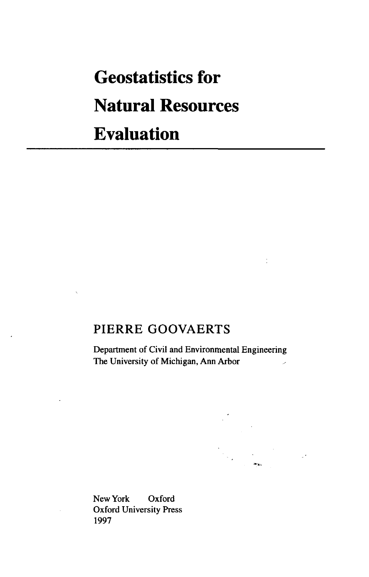# **Geostatistics for Natural Resources Evaluation**

## PIERRE GOOVAERTS

Department of Civil and Environmental Engineering The University of Michigan, Ann Arbor

New York Oxford Oxford University Press 1997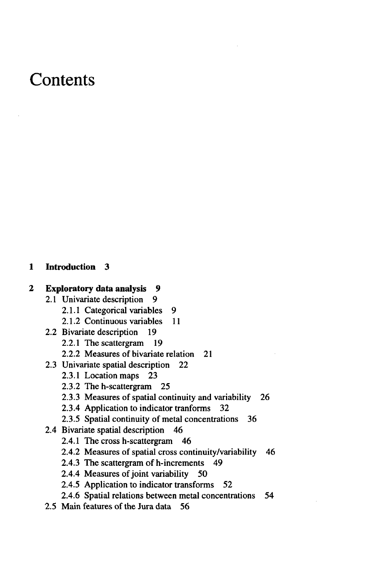## **Contents**

#### **1 Introduction 3**

#### **2 Exploratory data analysis 9**

- 2.1 Univariate description 9
	- 2.1.1 Categorical variables 9
	- 2.1.2 Continuous variables 11
- 2.2 Bivariate description 19
	- 2.2.1 The scattergram 19
	- 2.2.2 Measures of bivariate relation 21
- 2.3 Univariate spatial description 22
	- 2.3.1 Location maps 23
	- 2.3.2 The h-scattergram 25
	- 2.3.3 Measures of spatial continuity and variability 26
	- 2.3.4 Application to indicator tranforms 32
	- 2.3.5 Spatial continuity of metal concentrations 36
- 2.4 Bivariate spatial description 46
	- 2.4.1 The cross h-scattergram 46
	- 2.4.2 Measures of spatial cross continuity/variability 46
	- 2.4.3 The scattergram of h-increments 49
	- 2.4.4 Measures of joint variability 50
	- 2.4.5 Application to indicator transforms 52
	- 2.4.6 Spatial relations between metal concentrations 54
- 2.5 Main features of the Jura data 56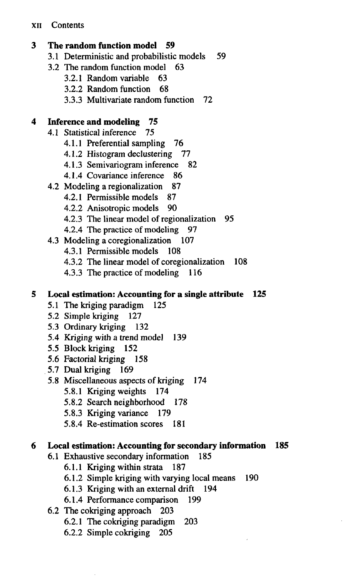#### **3 The random function model 59**

- 3.1 Deterministic and probabilistic models 59
- 3.2 The random function model 63
	- 3.2.1 Random variable 63
	- 3.2.2 Random function 68
	- 3.3.3 Multivariate random function 72

### **4 Inference and modeling 75**

- 4.1 Statistical inference 75
	- 4.1.1 Preferential sampling 76
	- 4.1.2 Histogram declustering 77
	- 4.1.3 Semivariogram inference 82
	- 4.1.4 Covariance inference 86
- 4.2 Modeling a regionalization 87
	- 4.2.1 Permissible models 87
	- 4.2.2 Anisotropic models 90
	- 4.2.3 The linear model of regionalization 95
	- 4.2.4 The practice of modeling 97
- 4.3 Modeling a coregionalization 107
	- 4.3.1 Permissible models 108
	- 4.3.2 The linear model of coregionalization 108
	- 4.3.3 The practice of modeling 116

#### **5 Local estimation: Accounting for a single attribute 125**

- 5.1 The kriging paradigm 125
- 5.2 Simple kriging 127
- 5.3 Ordinary kriging 132
- 5.4 Kriging with a trend model 139
- 5.5 Block kriging 152
- 5.6 Factorial kriging 158
- 5.7 Dual kriging 169
- 5.8 Miscellaneous aspects of kriging 174
	- 5.8.1 Kriging weights 174
	- 5.8.2 Search neighborhood 178
	- 5.8.3 Kriging variance 179
	- 5.8.4 Re-estimation scores 181

#### **6 Local estimation: Accounting for secondary information 185**

- 6.1 Exhaustive secondary information 185
	- 6.1.1 Kriging within strata 187
	- 6.1.2 Simple kriging with varying local means 190
	- 6.1.3 Kriging with an external drift 194
	- 6.1.4 Performance comparison 199
- 6.2 The cokriging approach 203
	- 6.2.1 The cokriging paradigm 203
	- 6.2.2 Simple cokriging 205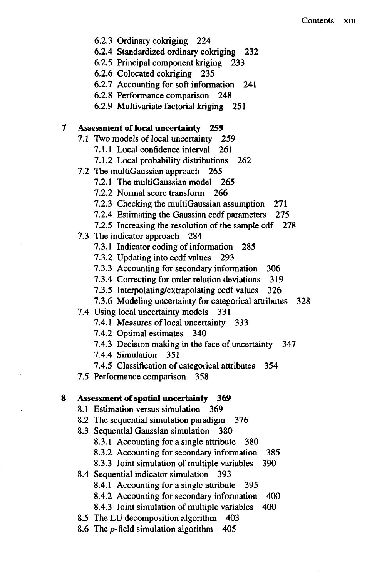- 6.2.3 Ordinary cokriging 224
- 6.2.4 Standardized ordinary cokriging 232
- 6.2.5 Principal component kriging 233
- 6.2.6 Colocated cokriging 235
- 6.2.7 Accounting for soft information 241
- 6.2.8 Performance comparison 248
- 6.2.9 Multivariate factorial kriging 251

#### **Assessment of local uncertainty 259** 7

- 7.1 Two models of local uncertainty 259
	- 7.1.1 Local confidence interval 261
	- 7.1.2 Local probability distributions 262
- 7.2 The multiGaussian approach 265
	- 7.2.1 The multiGaussian model 265
	- 7.2.2 Normal score transform 266
	- 7.2.3 Checking the multiGaussian assumption 271
	- 7.2.4 Estimating the Gaussian ccdf parameters 275
	- 7.2.5 Increasing the resolution of the sample cdf 278
- 7.3 The indicator approach 284
	- 7.3.1 Indicator coding of information 285
	- 7.3.2 Updating into ccdf values 293
	- 7.3.3 Accounting for secondary information 306
	- 7.3.4 Correcting for order relation deviations 319
	- 7.3.5 Interpolating/extrapolating ccdf values 326
	- 7.3.6 Modeling uncertainty for categorical attributes 328
- 7.4 Using local uncertainty models 331
	- 7.4.1 Measures of local uncertainty 333
	- 7.4.2 Optimal estimates 340
	- 7.4.3 Decision making in the face of uncertainty 347
	- 7.4.4 Simulation 351

7.4.5 Classification of categorical attributes 354

7.5 Performance comparison 358

#### 8 **Assessment of spatial uncertainty 369**

- 8.1 Estimation versus simulation 369
- 8.2 The sequential simulation paradigm 376
- 8.3 Sequential Gaussian simulation 380
	- 8.3.1 Accounting for a single attribute 380
	- 8.3.2 Accounting for secondary information 385
	- 8.3.3 Joint simulation of multiple variables 390
- 8.4 Sequential indicator simulation 393
	- 8.4.1 Accounting for a single attribute 395
	- 8.4.2 Accounting for secondary information 400
	- 8.4.3 Joint simulation of multiple variables 400
- 8.5 The LU decomposition algorithm 403
- 8.6 The p-field simulation algorithm 405